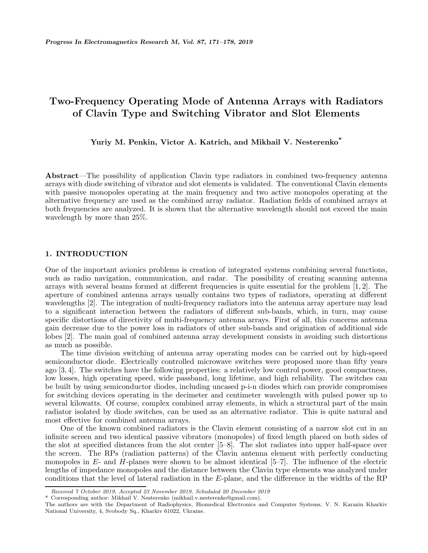# **Two-Frequency Operating Mode of Antenna Arrays with Radiators of Clavin Type and Switching Vibrator and Slot Elements**

**Yuriy M. Penkin, Victor A. Katrich, and Mikhail V. Nesterenko\***

**Abstract**—The possibility of application Clavin type radiators in combined two-frequency antenna arrays with diode switching of vibrator and slot elements is validated. The conventional Clavin elements with passive monopoles operating at the main frequency and two active monopoles operating at the alternative frequency are used as the combined array radiator. Radiation fields of combined arrays at both frequencies are analyzed. It is shown that the alternative wavelength should not exceed the main wavelength by more than 25%.

# **1. INTRODUCTION**

One of the important avionics problems is creation of integrated systems combining several functions, such as radio navigation, communication, and radar. The possibility of creating scanning antenna arrays with several beams formed at different frequencies is quite essential for the problem [1, 2]. The aperture of combined antenna arrays usually contains two types of radiators, operating at different wavelengths [2]. The integration of multi-frequency radiators into the antenna array aperture may lead to a significant interaction between the radiators of different sub-bands, which, in turn, may cause specific distortions of directivity of multi-frequency antenna arrays. First of all, this concerns antenna gain decrease due to the power loss in radiators of other sub-bands and origination of additional side lobes [2]. The main goal of combined antenna array development consists in avoiding such distortions as much as possible.

The time division switching of antenna array operating modes can be carried out by high-speed semiconductor diode. Electrically controlled microwave switches were proposed more than fifty years ago [3, 4]. The switches have the following properties: a relatively low control power, good compactness, low losses, high operating speed, wide passband, long lifetime, and high reliability. The switches can be built by using semiconductor diodes, including uncased p-i-n diodes which can provide compromises for switching devices operating in the decimeter and centimeter wavelength with pulsed power up to several kilowatts. Of course, complex combined array elements, in which a structural part of the main radiator isolated by diode switches, can be used as an alternative radiator. This is quite natural and most effective for combined antenna arrays.

One of the known combined radiators is the Clavin element consisting of a narrow slot cut in an infinite screen and two identical passive vibrators (monopoles) of fixed length placed on both sides of the slot at specified distances from the slot center [5–8]. The slot radiates into upper half-space over the screen. The RPs (radiation patterns) of the Clavin antenna element with perfectly conducting monopoles in  $E$ - and  $H$ -planes were shown to be almost identical  $[5–7]$ . The influence of the electric lengths of impedance monopoles and the distance between the Clavin type elements was analyzed under conditions that the level of lateral radiation in the E-plane, and the difference in the widths of the RP

*Received 7 October 2019, Accepted 23 November 2019, Scheduled 20 December 2019*

Corresponding author: Mikhail V. Nesterenko (mikhail.v.nesterenko@gmail.com).

The authors are with the Department of Radiophysics, Biomedical Electronics and Computer Systems, V. N. Karazin Kharkiv National University, 4, Svobody Sq., Kharkiv 61022, Ukraine.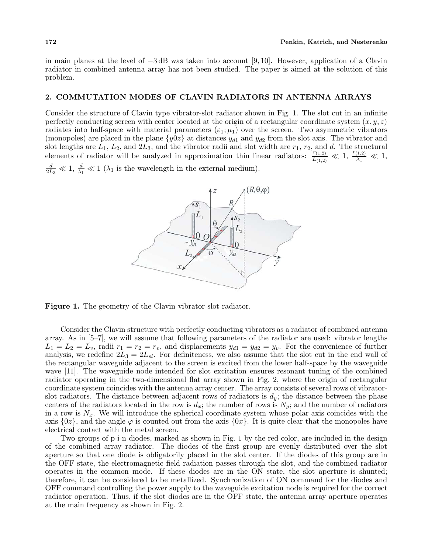in main planes at the level of −3 dB was taken into account [9, 10]. However, application of a Clavin radiator in combined antenna array has not been studied. The paper is aimed at the solution of this problem.

# **2. COMMUTATION MODES OF CLAVIN RADIATORS IN ANTENNA ARRAYS**

Consider the structure of Clavin type vibrator-slot radiator shown in Fig. 1. The slot cut in an infinite perfectly conducting screen with center located at the origin of a rectangular coordinate system  $(x, y, z)$ radiates into half-space with material parameters  $(\epsilon_1;\mu_1)$  over the screen. Two asymmetric vibrators (monopoles) are placed in the plane  $\{y0z\}$  at distances  $y_{d1}$  and  $y_{d2}$  from the slot axis. The vibrator and slot lengths are  $\hat{L}_1$ ,  $L_2$ , and  $2\hat{L}_3$ , and the vibrator radii and slot width are  $r_1$ ,  $r_2$ , and d. The structural elements of radiator will be analyzed in approximation thin linear radiators:  $\frac{r_{(1,2)}}{L_{(1,2)}} \ll 1$ ,  $\frac{r_{(1,2)}}{\lambda_1} \ll 1$ ,  $\frac{d}{2L_3} \ll 1$ ,  $\frac{d}{\lambda_1} \ll 1$  ( $\lambda_1$  is the wavelength in the external medium).



**Figure 1.** The geometry of the Clavin vibrator-slot radiator.

Consider the Clavin structure with perfectly conducting vibrators as a radiator of combined antenna array. As in [5–7], we will assume that following parameters of the radiator are used: vibrator lengths  $L_1 = L_2 = L_v$ , radii  $r_1 = r_2 = r_v$ , and displacements  $y_{d1} = y_{d2} = y_v$ . For the convenience of further analysis, we redefine  $2L_3 = 2L_{sl}$ . For definiteness, we also assume that the slot cut in the end wall of the rectangular waveguide adjacent to the screen is excited from the lower half-space by the waveguide wave [11]. The waveguide node intended for slot excitation ensures resonant tuning of the combined radiator operating in the two-dimensional flat array shown in Fig. 2, where the origin of rectangular coordinate system coincides with the antenna array center. The array consists of several rows of vibratorslot radiators. The distance between adjacent rows of radiators is  $d_y$ ; the distance between the phase centers of the radiators located in the row is  $d_x$ ; the number of rows is  $N_y$ ; and the number of radiators in a row is  $N_x$ . We will introduce the spherical coordinate system whose polar axis coincides with the axis  $\{0z\}$ , and the angle  $\varphi$  is counted out from the axis  $\{0x\}$ . It is quite clear that the monopoles have electrical contact with the metal screen.

Two groups of p-i-n diodes, marked as shown in Fig. 1 by the red color, are included in the design of the combined array radiator. The diodes of the first group are evenly distributed over the slot aperture so that one diode is obligatorily placed in the slot center. If the diodes of this group are in the OFF state, the electromagnetic field radiation passes through the slot, and the combined radiator operates in the common mode. If these diodes are in the ON state, the slot aperture is shunted; therefore, it can be considered to be metallized. Synchronization of ON command for the diodes and OFF command controlling the power supply to the waveguide excitation node is required for the correct radiator operation. Thus, if the slot diodes are in the OFF state, the antenna array aperture operates at the main frequency as shown in Fig. 2.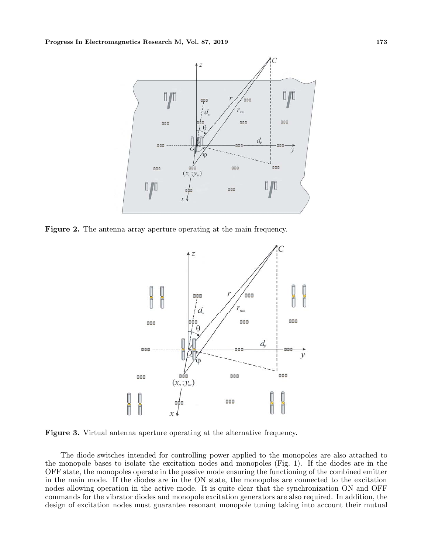

**Figure 2.** The antenna array aperture operating at the main frequency.



**Figure 3.** Virtual antenna aperture operating at the alternative frequency.

The diode switches intended for controlling power applied to the monopoles are also attached to the monopole bases to isolate the excitation nodes and monopoles (Fig. 1). If the diodes are in the OFF state, the monopoles operate in the passive mode ensuring the functioning of the combined emitter in the main mode. If the diodes are in the ON state, the monopoles are connected to the excitation nodes allowing operation in the active mode. It is quite clear that the synchronization ON and OFF commands for the vibrator diodes and monopole excitation generators are also required. In addition, the design of excitation nodes must guarantee resonant monopole tuning taking into account their mutual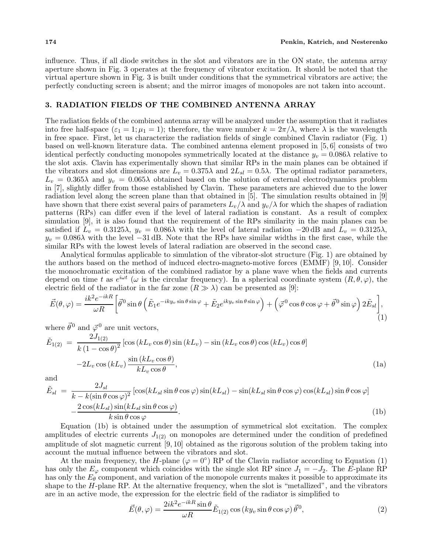influence. Thus, if all diode switches in the slot and vibrators are in the ON state, the antenna array aperture shown in Fig. 3 operates at the frequency of vibrator excitation. It should be noted that the virtual aperture shown in Fig. 3 is built under conditions that the symmetrical vibrators are active; the perfectly conducting screen is absent; and the mirror images of monopoles are not taken into account.

### **3. RADIATION FIELDS OF THE COMBINED ANTENNA ARRAY**

The radiation fields of the combined antenna array will be analyzed under the assumption that it radiates into free half-space  $(\varepsilon_1 = 1; \mu_1 = 1)$ ; therefore, the wave number  $k = 2\pi/\lambda$ , where  $\lambda$  is the wavelength in free space. First, let us characterize the radiation fields of single combined Clavin radiator (Fig. 1) based on well-known literature data. The combined antenna element proposed in [5, 6] consists of two identical perfectly conducting monopoles symmetrically located at the distance  $y_v = 0.086\lambda$  relative to the slot axis. Clavin has experimentally shown that similar RPs in the main planes can be obtained if the vibrators and slot dimensions are  $L_v = 0.375\lambda$  and  $2L_{sl} = 0.5\lambda$ . The optimal radiator parameters,  $L_v = 0.365\lambda$  and  $y_v = 0.065\lambda$  obtained based on the solution of external electrodynamics problem in [7], slightly differ from those established by Clavin. These parameters are achieved due to the lower radiation level along the screen plane than that obtained in [5]. The simulation results obtained in [9] have shown that there exist several pairs of parameters  $L_v/\lambda$  and  $y_v/\lambda$  for which the shapes of radiation patterns (RPs) can differ even if the level of lateral radiation is constant. As a result of complex simulation [9], it is also found that the requirement of the RPs similarity in the main planes can be satisfied if  $L_v = 0.3125\lambda$ ,  $y_v = 0.086\lambda$  with the level of lateral radiation  $-20$  dB and  $L_v = 0.3125\lambda$ ,  $y_v = 0.086\lambda$  with the level  $-31$  dB. Note that the RPs have similar widths in the first case, while the similar RPs with the lowest levels of lateral radiation are observed in the second case.

Analytical formulas applicable to simulation of the vibrator-slot structure (Fig. 1) are obtained by the authors based on the method of induced electro-magneto-motive forces (EMMF) [9, 10]. Consider the monochromatic excitation of the combined radiator by a plane wave when the fields and currents depend on time t as  $e^{i\omega t}$  ( $\omega$  is the circular frequency). In a spherical coordinate system  $(R, \theta, \varphi)$ , the electric field of the radiator in the far zone  $(R \gg \lambda)$  can be presented as [9]:

$$
\vec{E}(\theta,\varphi) = \frac{ik^2 e^{-ikR}}{\omega R} \left[ \vec{\theta}^0 \sin \theta \left( \tilde{E}_1 e^{-iky_v \sin \theta \sin \varphi} + \tilde{E}_2 e^{iky_v \sin \theta \sin \varphi} \right) + \left( \vec{\varphi}^0 \cos \theta \cos \varphi + \vec{\theta}^0 \sin \varphi \right) 2\tilde{E}_{sl} \right],
$$
\n(1)

where  $\vec{\theta}^0$  and  $\vec{\varphi}^0$  are unit vectors,

$$
\tilde{E}_{1(2)} = \frac{2J_{1(2)}}{k(1 - \cos\theta)^2} [\cos(kL_v \cos\theta)\sin(kL_v) - \sin(kL_v \cos\theta)\cos(kL_v)\cos\theta] \n-2L_v \cos(kL_v) \frac{\sin(kL_v \cos\theta)}{kL_v \cos\theta},
$$
\n(1a)

and

$$
\tilde{E}_{sl} = \frac{2J_{sl}}{k - k(\sin\theta\cos\varphi)^2} [\cos(kL_{sl}\sin\theta\cos\varphi)\sin(kL_{sl}) - \sin(kL_{sl}\sin\theta\cos\varphi)\cos(kL_{sl})\sin\theta\cos\varphi] \n- \frac{2\cos(kL_{sl})\sin(kL_{sl}\sin\theta\cos\varphi)}{k\sin\theta\cos\varphi}.
$$
\n(1b)

Equation (1b) is obtained under the assumption of symmetrical slot excitation. The complex amplitudes of electric currents  $J_{1(2)}$  on monopoles are determined under the condition of predefined amplitude of slot magnetic current [9, 10] obtained as the rigorous solution of the problem taking into account the mutual influence between the vibrators and slot.

At the main frequency, the H-plane ( $\varphi = 0^{\circ}$ ) RP of the Clavin radiator according to Equation (1) has only the  $E_{\varphi}$  component which coincides with the single slot RP since  $J_1 = -J_2$ . The E-plane RP has only the  $E_{\theta}$  component, and variation of the monopole currents makes it possible to approximate its shape to the  $H$ -plane RP. At the alternative frequency, when the slot is "metallized", and the vibrators are in an active mode, the expression for the electric field of the radiator is simplified to

$$
\vec{E}(\theta,\varphi) = \frac{2ik^2 e^{-ikR}\sin\theta}{\omega R} \tilde{E}_{1(2)}\cos\left(ky_v\sin\theta\cos\varphi\right) \vec{\theta}^0,\tag{2}
$$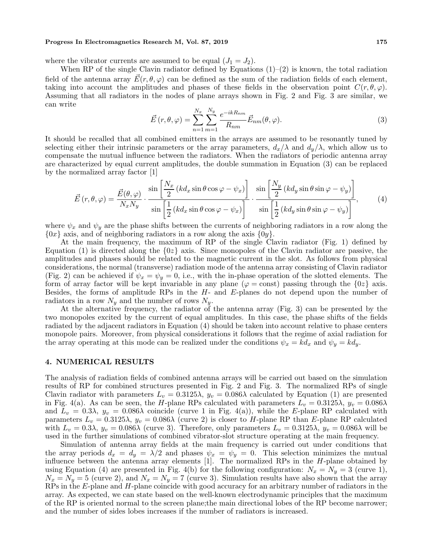#### **Progress In Electromagnetics Research M, Vol. 87, 2019** 175

where the vibrator currents are assumed to be equal  $(J_1 = J_2)$ .

When RP of the single Clavin radiator defined by Equations  $(1)-(2)$  is known, the total radiation field of the antenna array  $E(r, \theta, \varphi)$  can be defined as the sum of the radiation fields of each element, taking into account the amplitudes and phases of these fields in the observation point  $C(r, \theta, \varphi)$ . Assuming that all radiators in the nodes of plane arrays shown in Fig. 2 and Fig. 3 are similar, we can write

$$
\vec{E}\left(r,\theta,\varphi\right) = \sum_{n=1}^{N_x} \sum_{m=1}^{N_y} \frac{e^{-ikR_{nm}}}{R_{nm}} \vec{E}_{nm}(\theta,\varphi). \tag{3}
$$

It should be recalled that all combined emitters in the arrays are assumed to be resonantly tuned by selecting either their intrinsic parameters or the array parameters,  $d_x/\lambda$  and  $d_y/\lambda$ , which allow us to compensate the mutual influence between the radiators. When the radiators of periodic antenna array are characterized by equal current amplitudes, the double summation in Equation (3) can be replaced by the normalized array factor [1]

$$
\vec{E}(r,\theta,\varphi) = \frac{\vec{E}(\theta,\varphi)}{N_x N_y} \cdot \frac{\sin\left[\frac{N_x}{2} (kd_x \sin\theta \cos\varphi - \psi_x)\right]}{\sin\left[\frac{1}{2} (kd_x \sin\theta \cos\varphi - \psi_x)\right]} \cdot \frac{\sin\left[\frac{N_y}{2} (kd_y \sin\theta \sin\varphi - \psi_y)\right]}{\sin\left[\frac{1}{2} (kd_y \sin\theta \sin\varphi - \psi_y)\right]},
$$
(4)

where  $\psi_x$  and  $\psi_y$  are the phase shifts between the currents of neighboring radiators in a row along the  $\{0x\}$  axis, and of neighboring radiators in a row along the axis  $\{0y\}$ .

At the main frequency, the maximum of RP of the single Clavin radiator (Fig. 1) defined by Equation (1) is directed along the  $\{0z\}$  axis. Since monopoles of the Clavin radiator are passive, the amplitudes and phases should be related to the magnetic current in the slot. As follows from physical considerations, the normal (transverse) radiation mode of the antenna array consisting of Clavin radiator (Fig. 2) can be achieved if  $\psi_x = \psi_y = 0$ , i.e., with the in-phase operation of the slotted elements. The form of array factor will be kept invariable in any plane ( $\varphi = \text{const}$ ) passing through the  $\{0z\}$  axis. Besides, the forms of amplitude RPs in the H- and E-planes do not depend upon the number of radiators in a row  $N_y$  and the number of rows  $N_y$ .

At the alternative frequency, the radiator of the antenna array (Fig. 3) can be presented by the two monopoles excited by the current of equal amplitudes. In this case, the phase shifts of the fields radiated by the adjacent radiators in Equation (4) should be taken into account relative to phase centers monopole pairs. Moreover, from physical considerations it follows that the regime of axial radiation for the array operating at this mode can be realized under the conditions  $\psi_x = kd_x$  and  $\psi_y = kd_y$ .

### **4. NUMERICAL RESULTS**

The analysis of radiation fields of combined antenna arrays will be carried out based on the simulation results of RP for combined structures presented in Fig. 2 and Fig. 3. The normalized RPs of single Clavin radiator with parameters  $L_v = 0.3125\lambda$ ,  $y_v = 0.086\lambda$  calculated by Equation (1) are presented in Fig. 4(a). As can be seen, the H-plane RPs calculated with parameters  $L_v = 0.3125\lambda$ ,  $y_v = 0.086\lambda$ and  $L_v = 0.3\lambda$ ,  $y_v = 0.086\lambda$  coincide (curve 1 in Fig. 4(a)), while the E-plane RP calculated with parameters  $L_v = 0.3125\lambda$ ,  $y_v = 0.086\lambda$  (curve 2) is closer to H-plane RP than E-plane RP calculated with  $L_v = 0.3\lambda$ ,  $y_v = 0.086\lambda$  (curve 3). Therefore, only parameters  $L_v = 0.3125\lambda$ ,  $y_v = 0.086\lambda$  will be used in the further simulations of combined vibrator-slot structure operating at the main frequency.

Simulation of antenna array fields at the main frequency is carried out under conditions that the array periods  $d_x = d_y = \lambda/2$  and phases  $\psi_x = \psi_y = 0$ . This selection minimizes the mutual influence between the antenna array elements  $[1]$ . The normalized RPs in the *H*-plane obtained by using Equation (4) are presented in Fig. 4(b) for the following configuration:  $N_x = N_y = 3$  (curve 1),  $N_x = N_y = 5$  (curve 2), and  $N_x = N_y = 7$  (curve 3). Simulation results have also shown that the array  $R\bar{P}s$  in the E-plane and H-plane coincide with good accuracy for an arbitrary number of radiators in the array. As expected, we can state based on the well-known electrodynamic principles that the maximum of the RP is oriented normal to the screen plane;the main directional lobes of the RP become narrower; and the number of sides lobes increases if the number of radiators is increased.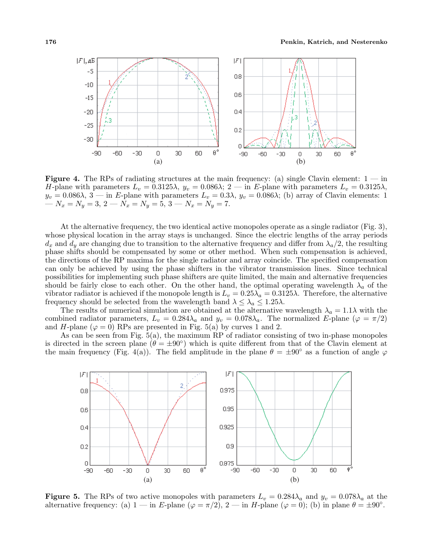

**Figure 4.** The RPs of radiating structures at the main frequency: (a) single Clavin element:  $1 - in$ H-plane with parameters  $L_v = 0.3125\lambda$ ,  $y_v = 0.086\lambda$ ;  $2 - \text{in } E$ -plane with parameters  $L_v = 0.3125\lambda$ ,  $y_v = 0.086\lambda$ , 3 — in E-plane with parameters  $L_v = 0.3\lambda$ ,  $y_v = 0.086\lambda$ ; (b) array of Clavin elements: 1 —  $N_x = N_y = 3, 2 - \hat{N}_x = N_y = \hat{5}, 3 - N_x = \check{N}_y = 7.$ 

At the alternative frequency, the two identical active monopoles operate as a single radiator (Fig. 3), whose physical location in the array stays is unchanged. Since the electric lengths of the array periods  $d_x$  and  $d_y$  are changing due to transition to the alternative frequency and differ from  $\lambda_a/2$ , the resulting phase shifts should be compensated by some or other method. When such compensation is achieved, the directions of the RP maxima for the single radiator and array coincide. The specified compensation can only be achieved by using the phase shifters in the vibrator transmission lines. Since technical possibilities for implementing such phase shifters are quite limited, the main and alternative frequencies should be fairly close to each other. On the other hand, the optimal operating wavelength  $\lambda_a$  of the vibrator radiator is achieved if the monopole length is  $L_v = 0.25\lambda_a = 0.3125\lambda$ . Therefore, the alternative frequency should be selected from the wavelength band  $\lambda \leq \lambda_a \leq 1.25\lambda$ .

The results of numerical simulation are obtained at the alternative wavelength  $\lambda_a = 1.1\lambda$  with the combined radiator parameters,  $L_v = 0.284\lambda_a$  and  $y_v = 0.078\lambda_a$ . The normalized E-plane ( $\varphi = \pi/2$ ) and H-plane ( $\varphi = 0$ ) RPs are presented in Fig. 5(a) by curves 1 and 2.

As can be seen from Fig. 5(a), the maximum RP of radiator consisting of two in-phase monopoles is directed in the screen plane ( $\theta = \pm 90^{\circ}$ ) which is quite different from that of the Clavin element at the main frequency (Fig. 4(a)). The field amplitude in the plane  $\theta = \pm 90^{\circ}$  as a function of angle  $\varphi$ 



**Figure 5.** The RPs of two active monopoles with parameters  $L_v = 0.284\lambda_a$  and  $y_v = 0.078\lambda_a$  at the alternative frequency: (a)  $1 - \text{in } E$ -plane ( $\varphi = \pi/2$ ),  $2 - \text{in } H$ -plane ( $\varphi = 0$ ); (b) in plane  $\theta = \pm 90^{\circ}$ .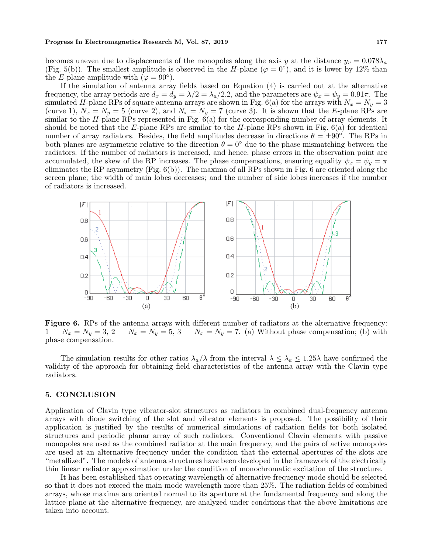#### **Progress In Electromagnetics Research M, Vol. 87, 2019** 177

becomes uneven due to displacements of the monopoles along the axis y at the distance  $y_v = 0.078\lambda_a$ (Fig. 5(b)). The smallest amplitude is observed in the H-plane ( $\varphi = 0^{\circ}$ ), and it is lower by 12% than the E-plane amplitude with  $(\varphi = 90^{\circ})$ .

If the simulation of antenna array fields based on Equation (4) is carried out at the alternative frequency, the array periods are  $d_x = d_y = \lambda/2 = \lambda_a/2.2$ , and the parameters are  $\psi_x = \psi_y = 0.91\pi$ . The simulated H-plane RPs of square antenna arrays are shown in Fig. 6(a) for the arrays with  $N_x = N_y = 3$ (curve 1),  $N_x = N_y = 5$  (curve 2), and  $N_x = N_y = 7$  (curve 3). It is shown that the E-plane RPs are similar to the H-plane RPs represented in Fig.  $\tilde{6}(a)$  for the corresponding number of array elements. It should be noted that the E-plane RPs are similar to the  $H$ -plane RPs shown in Fig. 6(a) for identical number of array radiators. Besides, the field amplitudes decrease in directions  $\theta = \pm 90^{\circ}$ . The RPs in both planes are asymmetric relative to the direction  $\theta = 0^{\circ}$  due to the phase mismatching between the radiators. If the number of radiators is increased, and hence, phase errors in the observation point are accumulated, the skew of the RP increases. The phase compensations, ensuring equality  $\psi_x = \psi_y = \pi$ eliminates the RP asymmetry (Fig. 6(b)). The maxima of all RPs shown in Fig. 6 are oriented along the screen plane; the width of main lobes decreases; and the number of side lobes increases if the number of radiators is increased.



**Figure 6.** RPs of the antenna arrays with different number of radiators at the alternative frequency:  $1 - N_x = N_y = 3$ ,  $2 - N_x = N_y = 5$ ,  $3 - N_x = N_y = 7$ . (a) Without phase compensation; (b) with phase compensation.

The simulation results for other ratios  $\lambda_a/\lambda$  from the interval  $\lambda \leq \lambda_a \leq 1.25\lambda$  have confirmed the validity of the approach for obtaining field characteristics of the antenna array with the Clavin type radiators.

### **5. CONCLUSION**

Application of Clavin type vibrator-slot structures as radiators in combined dual-frequency antenna arrays with diode switching of the slot and vibrator elements is proposed. The possibility of their application is justified by the results of numerical simulations of radiation fields for both isolated structures and periodic planar array of such radiators. Conventional Clavin elements with passive monopoles are used as the combined radiator at the main frequency, and the pairs of active monopoles are used at an alternative frequency under the condition that the external apertures of the slots are "metallized". The models of antenna structures have been developed in the framework of the electrically thin linear radiator approximation under the condition of monochromatic excitation of the structure.

It has been established that operating wavelength of alternative frequency mode should be selected so that it does not exceed the main mode wavelength more than 25%. The radiation fields of combined arrays, whose maxima are oriented normal to its aperture at the fundamental frequency and along the lattice plane at the alternative frequency, are analyzed under conditions that the above limitations are taken into account.